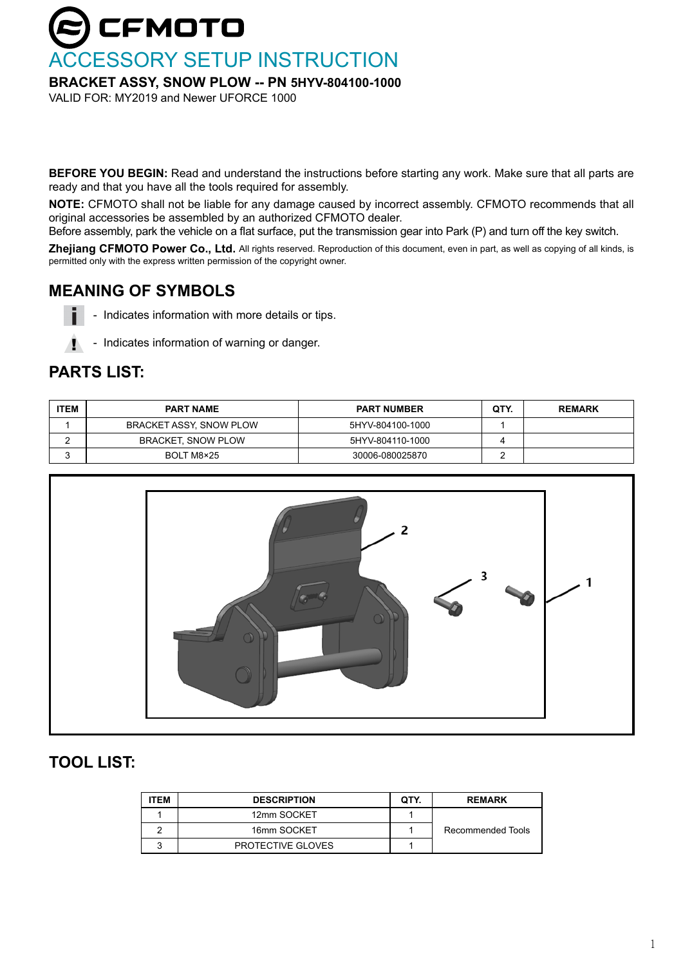# **CFMOTO** CCESSORY SETUP INSTRUCTION

#### **BRACKET ASSY, SNOW PLOW -- PN 5HYV-804100-1000**

VALID FOR: MY2019 and Newer UFORCE 1000

**BEFORE YOU BEGIN:** Read and understand the instructions before starting any work. Make sure that all parts are ready and that you have all the tools required for assembly.

**NOTE:** CFMOTO shall not be liable for any damage caused by incorrect assembly. CFMOTO recommends that all original accessories be assembled by an authorized CFMOTO dealer.

Before assembly, park the vehicle on a flat surface, put the transmission gear into Park (P) and turn off the key switch.

**Zhejiang CFMOTO Power Co., Ltd.** All rights reserved. Reproduction of this document, even in part, as well as copying of all kinds, is permitted only with the express written permission of the copyright owner.

# **MEANING OF SYMBOLS**

- Indicates information with more details or tips.
- ! - Indicates information of warning or danger.

### **PARTS LIST:**

i

| <b>ITEM</b> | <b>PART NAME</b>          | <b>PART NUMBER</b> | QTY. | <b>REMARK</b> |
|-------------|---------------------------|--------------------|------|---------------|
|             | BRACKET ASSY, SNOW PLOW   | 5HYV-804100-1000   |      |               |
| -           | <b>BRACKET, SNOW PLOW</b> | 5HYV-804110-1000   |      |               |
|             | BOLT M8×25                | 30006-080025870    |      |               |



# **TOOL LIST:**

| <b>TEM</b> | <b>DESCRIPTION</b> | QTY. | <b>REMARK</b>     |
|------------|--------------------|------|-------------------|
|            | 12mm SOCKET        |      |                   |
|            | 16mm SOCKET        |      | Recommended Tools |
|            | PROTECTIVE GLOVES  |      |                   |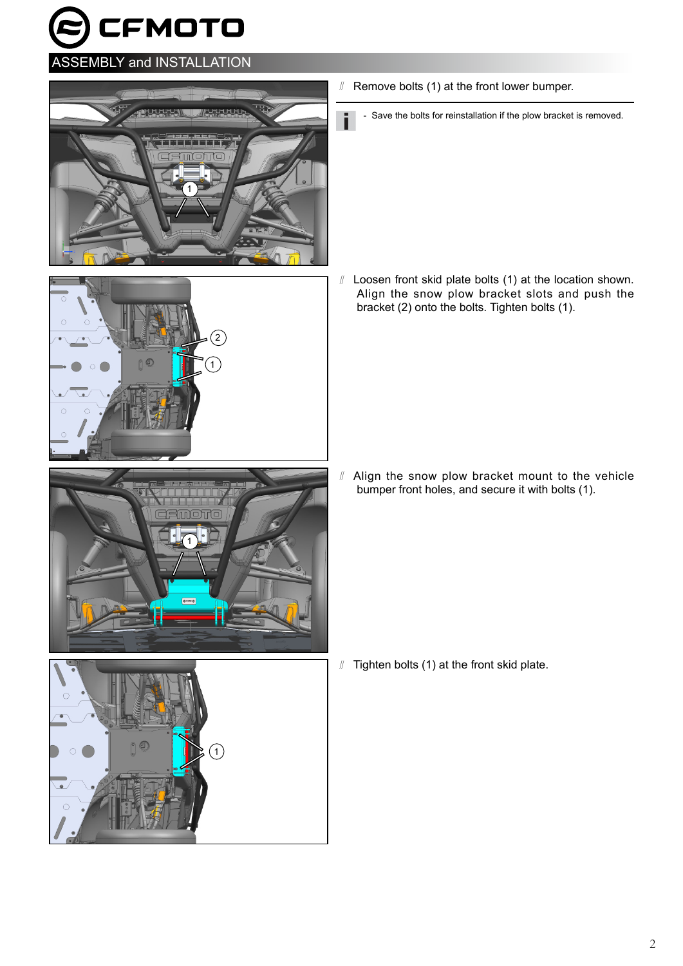CFMOTO

### ASSEMBLY and INSTALLATION







 $\mathbf{A}$ 

- ∥ Remove bolts (1) at the front lower bumper.
	- Save the bolts for reinstallation if the plow bracket is removed.

∥ Loosen front skid plate bolts (1) at the location shown. Align the snow plow bracket slots and push the bracket (2) onto the bolts. Tighten bolts (1).

∥ Align the snow plow bracket mount to the vehicle bumper front holes, and secure it with bolts (1).

∥ Tighten bolts (1) at the front skid plate.